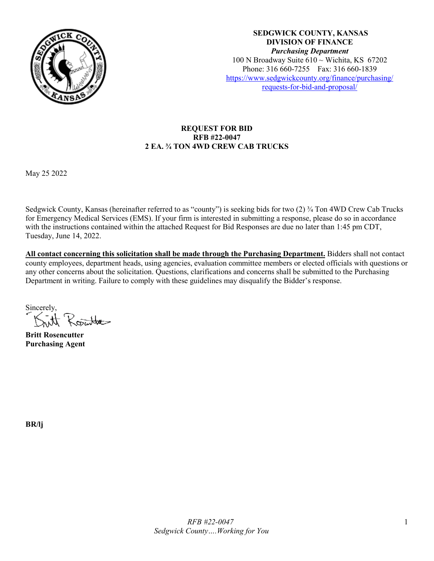

**SEDGWICK COUNTY, KANSAS DIVISION OF FINANCE** *Purchasing Department* 100 N Broadway Suite 610 ~ Wichita, KS 67202 Phone: 316 660-7255 Fax: 316 660-1839 [https://www.sedgwickcounty.org/finance/purchasing/](https://www.sedgwickcounty.org/finance/purchasing/requests-for-bid-and-proposal/)  [requests-for-bid-and-proposal/](https://www.sedgwickcounty.org/finance/purchasing/requests-for-bid-and-proposal/)

## **REQUEST FOR BID RFB #22-0047 2 EA. ¾ TON 4WD CREW CAB TRUCKS**

May 25 2022

Sedgwick County, Kansas (hereinafter referred to as "county") is seeking bids for two (2) ¾ Ton 4WD Crew Cab Trucks for Emergency Medical Services (EMS). If your firm is interested in submitting a response, please do so in accordance with the instructions contained within the attached Request for Bid Responses are due no later than 1:45 pm CDT, Tuesday, June 14, 2022.

**All contact concerning this solicitation shall be made through the Purchasing Department.** Bidders shall not contact county employees, department heads, using agencies, evaluation committee members or elected officials with questions or any other concerns about the solicitation. Questions, clarifications and concerns shall be submitted to the Purchasing Department in writing. Failure to comply with these guidelines may disqualify the Bidder's response.

Sincerely, Rojuntat

**Britt Rosencutter Purchasing Agent**

**BR/lj**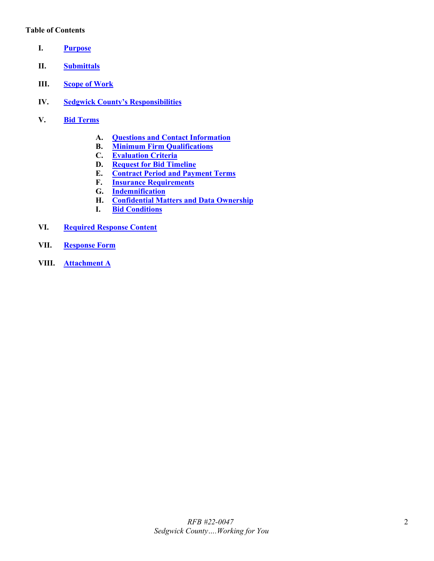#### **Table of Contents**

- <span id="page-1-0"></span>**I. [Purpose](#page-2-0)**
- <span id="page-1-1"></span>**II. [Submittals](#page-2-1)**
- <span id="page-1-2"></span>**III. [Scope of Work](#page-2-2)**
- <span id="page-1-3"></span>**IV. [Sedgwick County's Responsibilities](#page-4-0)**
- <span id="page-1-9"></span><span id="page-1-8"></span><span id="page-1-7"></span><span id="page-1-6"></span><span id="page-1-5"></span><span id="page-1-4"></span>**V. Bid [Terms](#page-4-1)**
	- **A. [Questions and Contact Information](#page-4-2)**
	- **B. [Minimum Firm Qualifications](#page-4-3)**
	- **C. [Evaluation Criteria](#page-4-4)**
	- **D. [Request for Bid](#page-4-5) Timeline**
	- **E. [Contract Period and Payment Terms](#page-5-0)**
	- **F. [Insurance Requirements](#page-5-1)**
	- **G. [Indemnification](#page-6-0)**
	- **H. [Confidential Matters and Data Ownership](#page-6-1)**
	- **I. [Bid Conditions](#page-6-2)**
- <span id="page-1-14"></span><span id="page-1-13"></span><span id="page-1-12"></span><span id="page-1-11"></span><span id="page-1-10"></span>**VI. [Required Response Content](#page-7-0)**
- <span id="page-1-15"></span>**VII. [Response Form](#page-7-1)**
- <span id="page-1-16"></span>**VIII. [Attachment A](#page-9-0)**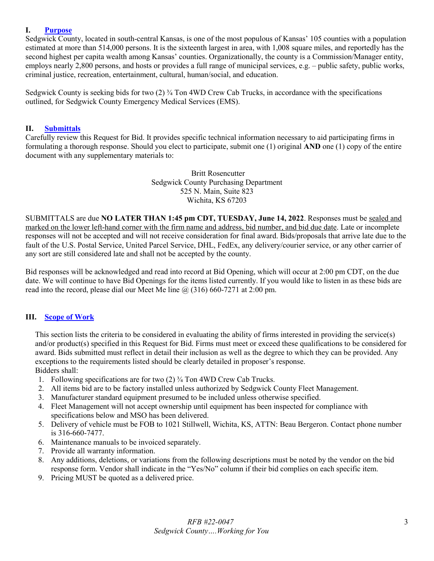#### <span id="page-2-0"></span>**I. [Purpose](#page-1-0)**

Sedgwick County, located in south-central Kansas, is one of the most populous of Kansas' 105 counties with a population estimated at more than 514,000 persons. It is the sixteenth largest in area, with 1,008 square miles, and reportedly has the second highest per capita wealth among Kansas' counties. Organizationally, the county is a Commission/Manager entity, employs nearly 2,800 persons, and hosts or provides a full range of municipal services, e.g. – public safety, public works, criminal justice, recreation, entertainment, cultural, human/social, and education.

Sedgwick County is seeking bids for two  $(2)$  ¼ Ton 4WD Crew Cab Trucks, in accordance with the specifications outlined, for Sedgwick County Emergency Medical Services (EMS).

#### <span id="page-2-1"></span>**II. [Submittals](#page-1-1)**

Carefully review this Request for Bid. It provides specific technical information necessary to aid participating firms in formulating a thorough response. Should you elect to participate, submit one (1) original **AND** one (1) copy of the entire document with any supplementary materials to:

> Britt Rosencutter Sedgwick County Purchasing Department 525 N. Main, Suite 823 Wichita, KS 67203

SUBMITTALS are due **NO LATER THAN 1:45 pm CDT, TUESDAY, June 14, 2022**. Responses must be sealed and marked on the lower left-hand corner with the firm name and address, bid number, and bid due date. Late or incomplete responses will not be accepted and will not receive consideration for final award. Bids/proposals that arrive late due to the fault of the U.S. Postal Service, United Parcel Service, DHL, FedEx, any delivery/courier service, or any other carrier of any sort are still considered late and shall not be accepted by the county.

Bid responses will be acknowledged and read into record at Bid Opening, which will occur at 2:00 pm CDT, on the due date. We will continue to have Bid Openings for the items listed currently. If you would like to listen in as these bids are read into the record, please dial our Meet Me line  $(a)$  (316) 660-7271 at 2:00 pm.

#### <span id="page-2-2"></span>**III. [Scope of Work](#page-1-2)**

This section lists the criteria to be considered in evaluating the ability of firms interested in providing the service(s) and/or product(s) specified in this Request for Bid. Firms must meet or exceed these qualifications to be considered for award. Bids submitted must reflect in detail their inclusion as well as the degree to which they can be provided. Any exceptions to the requirements listed should be clearly detailed in proposer's response. Bidders shall:

- 1. Following specifications are for two (2) ¾ Ton 4WD Crew Cab Trucks.
- 2. All items bid are to be factory installed unless authorized by Sedgwick County Fleet Management.
- 3. Manufacturer standard equipment presumed to be included unless otherwise specified.
- 4. Fleet Management will not accept ownership until equipment has been inspected for compliance with specifications below and MSO has been delivered.
- 5. Delivery of vehicle must be FOB to 1021 Stillwell, Wichita, KS, ATTN: Beau Bergeron. Contact phone number is 316-660-7477.
- 6. Maintenance manuals to be invoiced separately.
- 7. Provide all warranty information.
- 8. Any additions, deletions, or variations from the following descriptions must be noted by the vendor on the bid response form. Vendor shall indicate in the "Yes/No" column if their bid complies on each specific item.
- 9. Pricing MUST be quoted as a delivered price.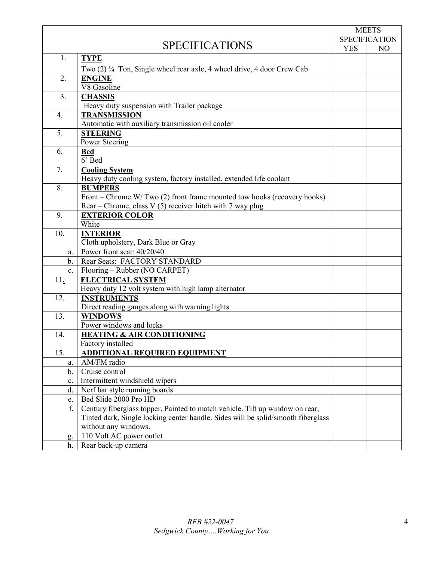|                                  |                                                                                                 | <b>MEETS</b>         |                |
|----------------------------------|-------------------------------------------------------------------------------------------------|----------------------|----------------|
|                                  |                                                                                                 | <b>SPECIFICATION</b> |                |
|                                  | <b>SPECIFICATIONS</b>                                                                           | <b>YES</b>           | N <sub>O</sub> |
| 1.                               | <b>TYPE</b>                                                                                     |                      |                |
|                                  | Two (2) <sup>3</sup> / <sub>4</sub> Ton, Single wheel rear axle, 4 wheel drive, 4 door Crew Cab |                      |                |
| 2.                               | <b>ENGINE</b>                                                                                   |                      |                |
|                                  | V8 Gasoline                                                                                     |                      |                |
| 3.                               | <b>CHASSIS</b>                                                                                  |                      |                |
|                                  | Heavy duty suspension with Trailer package                                                      |                      |                |
| 4.                               | <b>TRANSMISSION</b>                                                                             |                      |                |
|                                  | Automatic with auxiliary transmission oil cooler                                                |                      |                |
| 5.                               | <b>STEERING</b>                                                                                 |                      |                |
|                                  | Power Steering                                                                                  |                      |                |
| 6.                               | <b>Bed</b>                                                                                      |                      |                |
|                                  | 6' Bed                                                                                          |                      |                |
| 7.                               | <b>Cooling System</b>                                                                           |                      |                |
|                                  | Heavy duty cooling system, factory installed, extended life coolant                             |                      |                |
| 8.                               | <b>BUMPERS</b>                                                                                  |                      |                |
|                                  | Front – Chrome W/Two (2) front frame mounted tow hooks (recovery hooks)                         |                      |                |
|                                  | Rear – Chrome, class V (5) receiver hitch with 7 way plug                                       |                      |                |
| 9.                               | <b>EXTERIOR COLOR</b>                                                                           |                      |                |
|                                  | White                                                                                           |                      |                |
| 10.                              | <b>INTERIOR</b>                                                                                 |                      |                |
|                                  | Cloth upholstery, Dark Blue or Gray                                                             |                      |                |
| a.                               | Power front seat: 40/20/40                                                                      |                      |                |
| $\mathbf b$ .                    | Rear Seats: FACTORY STANDARD                                                                    |                      |                |
| $\mathbf{c}$ .                   | Flooring – Rubber (NO CARPET)<br><b>ELECTRICAL SYSTEM</b>                                       |                      |                |
| $11_{\scriptscriptstyle\bullet}$ | Heavy duty 12 volt system with high lamp alternator                                             |                      |                |
| 12.                              | <b>INSTRUMENTS</b>                                                                              |                      |                |
|                                  | Direct reading gauges along with warning lights                                                 |                      |                |
| 13.                              | <b>WINDOWS</b>                                                                                  |                      |                |
|                                  | Power windows and locks                                                                         |                      |                |
| 14.                              | <b>HEATING &amp; AIR CONDITIONING</b>                                                           |                      |                |
|                                  | Factory installed                                                                               |                      |                |
| 15.                              | <b>ADDITIONAL REQUIRED EQUIPMENT</b>                                                            |                      |                |
| a.                               | AM/FM radio                                                                                     |                      |                |
| $\mathbf b$ .                    | Cruise control                                                                                  |                      |                |
| c.                               | Intermittent windshield wipers                                                                  |                      |                |
| d.                               | Nerf bar style running boards                                                                   |                      |                |
| e.                               | Bed Slide 2000 Pro HD                                                                           |                      |                |
| f.                               | Century fiberglass topper, Painted to match vehicle. Tilt up window on rear,                    |                      |                |
|                                  | Tinted dark, Single locking center handle. Sides will be solid/smooth fiberglass                |                      |                |
|                                  | without any windows.                                                                            |                      |                |
| g.                               | 110 Volt AC power outlet                                                                        |                      |                |
| h.                               | Rear back-up camera                                                                             |                      |                |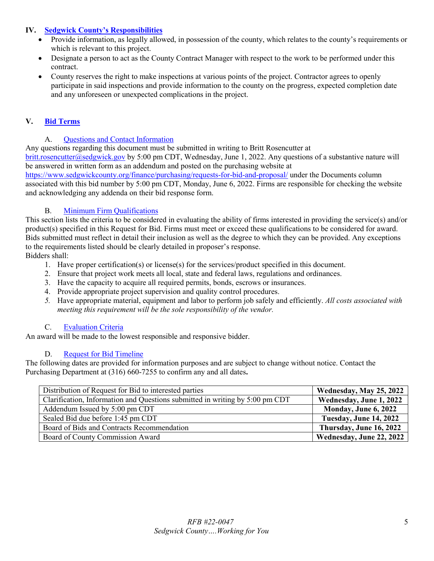## <span id="page-4-0"></span>**IV. [Sedgwick County's Responsibilities](#page-1-3)**

- Provide information, as legally allowed, in possession of the county, which relates to the county's requirements or which is relevant to this project.
- Designate a person to act as the County Contract Manager with respect to the work to be performed under this contract.
- County reserves the right to make inspections at various points of the project. Contractor agrees to openly participate in said inspections and provide information to the county on the progress, expected completion date and any unforeseen or unexpected complications in the project.

# <span id="page-4-1"></span>**V. Bid [Terms](#page-1-4)**

## A. [Questions and Contact Information](#page-1-5)

<span id="page-4-2"></span>Any questions regarding this document must be submitted in writing to Britt Rosencutter at [britt.rosencutter@sedgwick.gov](mailto:britt.rosencutter@sedgwick.gov) by 5:00 pm CDT, Wednesday, June 1, 2022. Any questions of a substantive nature will be answered in written form as an addendum and posted on the purchasing website at

<https://www.sedgwickcounty.org/finance/purchasing/requests-for-bid-and-proposal/>under the Documents column associated with this bid number by 5:00 pm CDT, Monday, June 6, 2022. Firms are responsible for checking the website and acknowledging any addenda on their bid response form.

### B. [Minimum Firm Qualifications](#page-1-6)

<span id="page-4-3"></span>This section lists the criteria to be considered in evaluating the ability of firms interested in providing the service(s) and/or product(s) specified in this Request for Bid. Firms must meet or exceed these qualifications to be considered for award. Bids submitted must reflect in detail their inclusion as well as the degree to which they can be provided. Any exceptions to the requirements listed should be clearly detailed in proposer's response.

Bidders shall:

- 1. Have proper certification(s) or license(s) for the services/product specified in this document.
- 2. Ensure that project work meets all local, state and federal laws, regulations and ordinances.
- 3. Have the capacity to acquire all required permits, bonds, escrows or insurances.
- 4. Provide appropriate project supervision and quality control procedures.
- *5.* Have appropriate material, equipment and labor to perform job safely and efficiently. *All costs associated with meeting this requirement will be the sole responsibility of the vendor.*

## C. [Evaluation Criteria](#page-1-7)

<span id="page-4-4"></span>An award will be made to the lowest responsible and responsive bidder.

## D. [Request for Bid](#page-1-8) Timeline

<span id="page-4-5"></span>The following dates are provided for information purposes and are subject to change without notice. Contact the Purchasing Department at (316) 660-7255 to confirm any and all dates**.** 

| Distribution of Request for Bid to interested parties                        | Wednesday, May 25, 2022  |
|------------------------------------------------------------------------------|--------------------------|
| Clarification, Information and Questions submitted in writing by 5:00 pm CDT | Wednesday, June 1, 2022  |
| Addendum Issued by 5:00 pm CDT                                               | Monday, June 6, 2022     |
| Sealed Bid due before 1:45 pm CDT                                            | Tuesday, June 14, 2022   |
| Board of Bids and Contracts Recommendation                                   | Thursday, June 16, 2022  |
| Board of County Commission Award                                             | Wednesday, June 22, 2022 |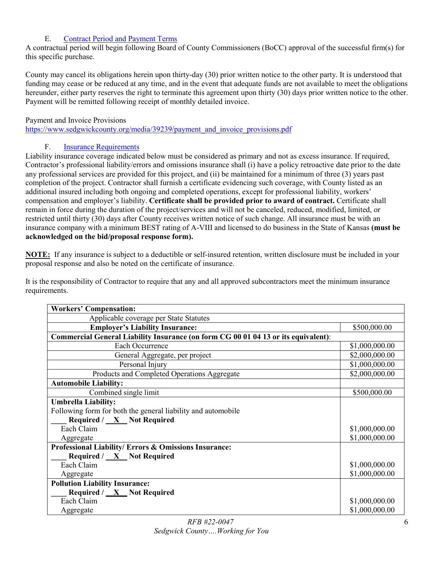## E. [Contract Period and Payment Terms](#page-1-9)

<span id="page-5-0"></span>A contractual period will begin following Board of County Commissioners (BoCC) approval of the successful firm(s) for this specific purchase.

County may cancel its obligations herein upon thirty-day (30) prior written notice to the other party. It is understood that funding may cease or be reduced at any time, and in the event that adequate funds are not available to meet the obligations hereunder, either party reserves the right to terminate this agreement upon thirty (30) days prior written notice to the other. Payment will be remitted following receipt of monthly detailed invoice.

## Payment and Invoice Provisions

[https://www.sedgwickcounty.org/media/39239/payment\\_and\\_invoice\\_provisions.pdf](https://www.sedgwickcounty.org/media/39239/payment_and_invoice_provisions.pdf)

## F. [Insurance Requirements](#page-1-10)

<span id="page-5-1"></span>Liability insurance coverage indicated below must be considered as primary and not as excess insurance. If required, Contractor's professional liability/errors and omissions insurance shall (i) have a policy retroactive date prior to the date any professional services are provided for this project, and (ii) be maintained for a minimum of three (3) years past completion of the project. Contractor shall furnish a certificate evidencing such coverage, with County listed as an additional insured including both ongoing and completed operations, except for professional liability, workers' compensation and employer's liability. **Certificate shall be provided prior to award of contract.** Certificate shall remain in force during the duration of the project/services and will not be canceled, reduced, modified, limited, or restricted until thirty (30) days after County receives written notice of such change. All insurance must be with an insurance company with a minimum BEST rating of A-VIII and licensed to do business in the State of Kansas **(must be acknowledged on the bid/proposal response form).**

**NOTE:** If any insurance is subject to a deductible or self-insured retention, written disclosure must be included in your proposal response and also be noted on the certificate of insurance.

It is the responsibility of Contractor to require that any and all approved subcontractors meet the minimum insurance requirements.

| <b>Workers' Compensation:</b>                                                      |                |  |  |
|------------------------------------------------------------------------------------|----------------|--|--|
| Applicable coverage per State Statutes                                             |                |  |  |
| <b>Employer's Liability Insurance:</b>                                             | \$500,000.00   |  |  |
| Commercial General Liability Insurance (on form CG 00 01 04 13 or its equivalent): |                |  |  |
| Each Occurrence                                                                    | \$1,000,000.00 |  |  |
| General Aggregate, per project                                                     | \$2,000,000.00 |  |  |
| Personal Injury                                                                    | \$1,000,000.00 |  |  |
| Products and Completed Operations Aggregate                                        | \$2,000,000.00 |  |  |
| <b>Automobile Liability:</b>                                                       |                |  |  |
| Combined single limit                                                              | \$500,000.00   |  |  |
| <b>Umbrella Liability:</b>                                                         |                |  |  |
| Following form for both the general liability and automobile                       |                |  |  |
| Required $/ X$ Not Required                                                        |                |  |  |
| Each Claim                                                                         | \$1,000,000.00 |  |  |
| Aggregate                                                                          | \$1,000,000.00 |  |  |
| Professional Liability/ Errors & Omissions Insurance:                              |                |  |  |
| Required / X Not Required                                                          |                |  |  |
| Each Claim                                                                         | \$1,000,000.00 |  |  |
| Aggregate                                                                          | \$1,000,000.00 |  |  |
| <b>Pollution Liability Insurance:</b>                                              |                |  |  |
| Required / X Not Required                                                          |                |  |  |
| Each Claim                                                                         | \$1,000,000.00 |  |  |
| Aggregate                                                                          | \$1,000,000.00 |  |  |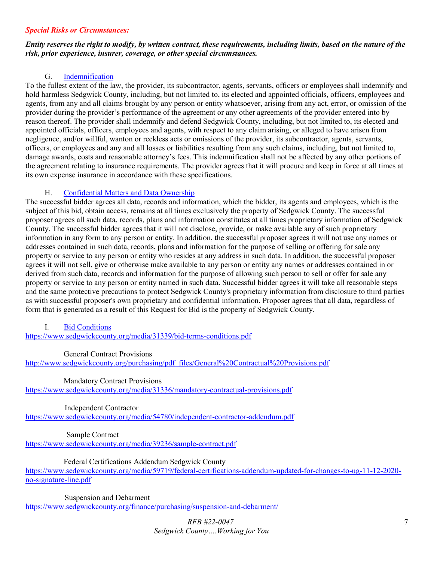#### *Special Risks or Circumstances:*

#### *Entity reserves the right to modify, by written contract, these requirements, including limits, based on the nature of the risk, prior experience, insurer, coverage, or other special circumstances.*

## G. [Indemnification](#page-1-11)

<span id="page-6-0"></span>To the fullest extent of the law, the provider, its subcontractor, agents, servants, officers or employees shall indemnify and hold harmless Sedgwick County, including, but not limited to, its elected and appointed officials, officers, employees and agents, from any and all claims brought by any person or entity whatsoever, arising from any act, error, or omission of the provider during the provider's performance of the agreement or any other agreements of the provider entered into by reason thereof. The provider shall indemnify and defend Sedgwick County, including, but not limited to, its elected and appointed officials, officers, employees and agents, with respect to any claim arising, or alleged to have arisen from negligence, and/or willful, wanton or reckless acts or omissions of the provider, its subcontractor, agents, servants, officers, or employees and any and all losses or liabilities resulting from any such claims, including, but not limited to, damage awards, costs and reasonable attorney's fees. This indemnification shall not be affected by any other portions of the agreement relating to insurance requirements. The provider agrees that it will procure and keep in force at all times at its own expense insurance in accordance with these specifications.

### H. [Confidential Matters and Data Ownership](#page-1-12)

<span id="page-6-1"></span>The successful bidder agrees all data, records and information, which the bidder, its agents and employees, which is the subject of this bid, obtain access, remains at all times exclusively the property of Sedgwick County. The successful proposer agrees all such data, records, plans and information constitutes at all times proprietary information of Sedgwick County. The successful bidder agrees that it will not disclose, provide, or make available any of such proprietary information in any form to any person or entity. In addition, the successful proposer agrees it will not use any names or addresses contained in such data, records, plans and information for the purpose of selling or offering for sale any property or service to any person or entity who resides at any address in such data. In addition, the successful proposer agrees it will not sell, give or otherwise make available to any person or entity any names or addresses contained in or derived from such data, records and information for the purpose of allowing such person to sell or offer for sale any property or service to any person or entity named in such data. Successful bidder agrees it will take all reasonable steps and the same protective precautions to protect Sedgwick County's proprietary information from disclosure to third parties as with successful proposer's own proprietary and confidential information. Proposer agrees that all data, regardless of form that is generated as a result of this Request for Bid is the property of Sedgwick County.

#### <span id="page-6-2"></span>I. [Bid Conditions](#page-1-13)

<https://www.sedgwickcounty.org/media/31339/bid-terms-conditions.pdf>

#### General Contract Provisions

[http://www.sedgwickcounty.org/purchasing/pdf\\_files/General%20Contractual%20Provisions.pdf](https://www.sedgwickcounty.org/media/31337/general-contractual-provisions.pdf) 

Mandatory Contract Provisions

<https://www.sedgwickcounty.org/media/31336/mandatory-contractual-provisions.pdf>

Independent Contractor

<https://www.sedgwickcounty.org/media/54780/independent-contractor-addendum.pdf>

Sample Contract

<https://www.sedgwickcounty.org/media/39236/sample-contract.pdf>

Federal Certifications Addendum Sedgwick County

[https://www.sedgwickcounty.org/media/59719/federal-certifications-addendum-updated-for-changes-to-ug-11-12-2020](https://www.sedgwickcounty.org/media/59719/federal-certifications-addendum-updated-for-changes-to-ug-11-12-2020-no-signature-line.pdf) [no-signature-line.pdf](https://www.sedgwickcounty.org/media/59719/federal-certifications-addendum-updated-for-changes-to-ug-11-12-2020-no-signature-line.pdf)

Suspension and Debarment

<https://www.sedgwickcounty.org/finance/purchasing/suspension-and-debarment/>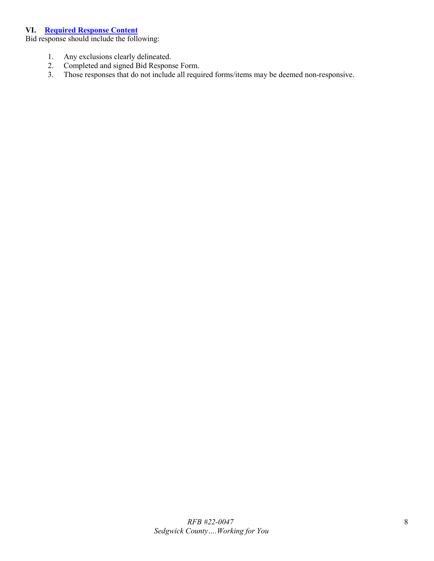#### <span id="page-7-0"></span>**VI. [Required Response Content](#page-1-14)**

Bid response should include the following:

- 1. Any exclusions clearly delineated.
- 2. Completed and signed Bid Response Form.<br>3. Those responses that do not include all requi
- <span id="page-7-1"></span>Those responses that do not include all required forms/items may be deemed non-responsive.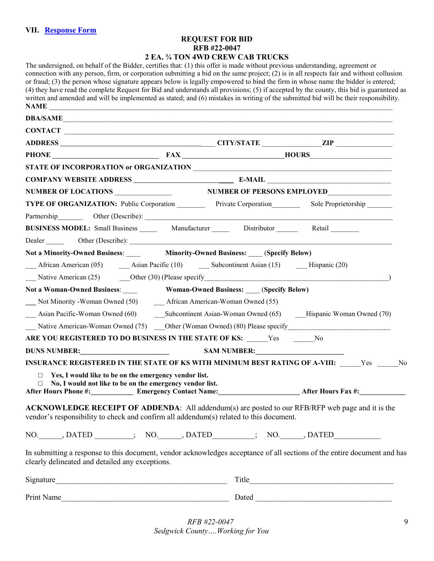## **REQUEST FOR BID RFB #22-0047 2 EA. ¾ TON 4WD CREW CAB TRUCKS**

| The undersigned, on behalf of the Bidder, certifies that: (1) this offer is made without previous understanding, agreement or<br>connection with any person, firm, or corporation submitting a bid on the same project; $(2)$ is in all respects fair and without collusion<br>or fraud; (3) the person whose signature appears below is legally empowered to bind the firm in whose name the bidder is entered;<br>(4) they have read the complete Request for Bid and understands all provisions; (5) if accepted by the county, this bid is guaranteed as<br>written and amended and will be implemented as stated; and (6) mistakes in writing of the submitted bid will be their responsibility.<br>NAME |                                              |  |                                                                                                                                                                                                                               |
|---------------------------------------------------------------------------------------------------------------------------------------------------------------------------------------------------------------------------------------------------------------------------------------------------------------------------------------------------------------------------------------------------------------------------------------------------------------------------------------------------------------------------------------------------------------------------------------------------------------------------------------------------------------------------------------------------------------|----------------------------------------------|--|-------------------------------------------------------------------------------------------------------------------------------------------------------------------------------------------------------------------------------|
| DBA/SAME                                                                                                                                                                                                                                                                                                                                                                                                                                                                                                                                                                                                                                                                                                      |                                              |  |                                                                                                                                                                                                                               |
| CONTACT                                                                                                                                                                                                                                                                                                                                                                                                                                                                                                                                                                                                                                                                                                       |                                              |  |                                                                                                                                                                                                                               |
|                                                                                                                                                                                                                                                                                                                                                                                                                                                                                                                                                                                                                                                                                                               |                                              |  |                                                                                                                                                                                                                               |
|                                                                                                                                                                                                                                                                                                                                                                                                                                                                                                                                                                                                                                                                                                               | PHONE FAX HOURS                              |  |                                                                                                                                                                                                                               |
|                                                                                                                                                                                                                                                                                                                                                                                                                                                                                                                                                                                                                                                                                                               |                                              |  |                                                                                                                                                                                                                               |
|                                                                                                                                                                                                                                                                                                                                                                                                                                                                                                                                                                                                                                                                                                               |                                              |  |                                                                                                                                                                                                                               |
| NUMBER OF LOCATIONS NUMBER OF PERSONS EMPLOYED                                                                                                                                                                                                                                                                                                                                                                                                                                                                                                                                                                                                                                                                |                                              |  |                                                                                                                                                                                                                               |
| TYPE OF ORGANIZATION: Public Corporation Private Corporation Sole Proprietorship                                                                                                                                                                                                                                                                                                                                                                                                                                                                                                                                                                                                                              |                                              |  |                                                                                                                                                                                                                               |
|                                                                                                                                                                                                                                                                                                                                                                                                                                                                                                                                                                                                                                                                                                               |                                              |  |                                                                                                                                                                                                                               |
| <b>BUSINESS MODEL:</b> Small Business ________ Manufacturer ________ Distributor _______ Retail                                                                                                                                                                                                                                                                                                                                                                                                                                                                                                                                                                                                               |                                              |  |                                                                                                                                                                                                                               |
|                                                                                                                                                                                                                                                                                                                                                                                                                                                                                                                                                                                                                                                                                                               |                                              |  |                                                                                                                                                                                                                               |
| Not a Minority-Owned Business: Minority-Owned Business: (Specify Below)                                                                                                                                                                                                                                                                                                                                                                                                                                                                                                                                                                                                                                       |                                              |  |                                                                                                                                                                                                                               |
| African American (05) <b>Asian Pacific (10) Subcontinent Asian (15) __</b> Hispanic (20)                                                                                                                                                                                                                                                                                                                                                                                                                                                                                                                                                                                                                      |                                              |  |                                                                                                                                                                                                                               |
| Native American (25) Other (30) (Please specify and the state of the state of the state of the state of the state of the state of the state of the state of the state of the state of the state of the state of the state of t                                                                                                                                                                                                                                                                                                                                                                                                                                                                                |                                              |  |                                                                                                                                                                                                                               |
| Not a Woman-Owned Business:                                                                                                                                                                                                                                                                                                                                                                                                                                                                                                                                                                                                                                                                                   | <b>Woman-Owned Business:</b> (Specify Below) |  |                                                                                                                                                                                                                               |
|                                                                                                                                                                                                                                                                                                                                                                                                                                                                                                                                                                                                                                                                                                               |                                              |  |                                                                                                                                                                                                                               |
| Asian Pacific-Woman Owned (60) Subcontinent Asian-Woman Owned (65) Hispanic Woman Owned (70)                                                                                                                                                                                                                                                                                                                                                                                                                                                                                                                                                                                                                  |                                              |  |                                                                                                                                                                                                                               |
| Native American-Woman Owned (75) Cher (Woman Owned) (80) Please specify                                                                                                                                                                                                                                                                                                                                                                                                                                                                                                                                                                                                                                       |                                              |  |                                                                                                                                                                                                                               |
| ARE YOU REGISTERED TO DO BUSINESS IN THE STATE OF KS: ______Yes ________No                                                                                                                                                                                                                                                                                                                                                                                                                                                                                                                                                                                                                                    |                                              |  |                                                                                                                                                                                                                               |
|                                                                                                                                                                                                                                                                                                                                                                                                                                                                                                                                                                                                                                                                                                               |                                              |  |                                                                                                                                                                                                                               |
| INSURANCE REGISTERED IN THE STATE OF KS WITH MINIMUM BEST RATING OF A-VIII: Yes No                                                                                                                                                                                                                                                                                                                                                                                                                                                                                                                                                                                                                            |                                              |  |                                                                                                                                                                                                                               |
| $\Box$ Yes, I would like to be on the emergency vendor list.<br>$\Box$ No, I would not like to be on the emergency vendor list.<br>After Hours Phone #: Emergency Contact Name: After Hours Fax #: After Hours Fax #:                                                                                                                                                                                                                                                                                                                                                                                                                                                                                         |                                              |  |                                                                                                                                                                                                                               |
| ACKNOWLEDGE RECEIPT OF ADDENDA: All addendum(s) are posted to our RFB/RFP web page and it is the<br>vendor's responsibility to check and confirm all addendum(s) related to this document.                                                                                                                                                                                                                                                                                                                                                                                                                                                                                                                    |                                              |  |                                                                                                                                                                                                                               |
| NO. DATED SOLUTION NO. DATED SOLUTION NO. DATED                                                                                                                                                                                                                                                                                                                                                                                                                                                                                                                                                                                                                                                               |                                              |  |                                                                                                                                                                                                                               |
| In submitting a response to this document, vendor acknowledges acceptance of all sections of the entire document and has<br>clearly delineated and detailed any exceptions.                                                                                                                                                                                                                                                                                                                                                                                                                                                                                                                                   |                                              |  |                                                                                                                                                                                                                               |
|                                                                                                                                                                                                                                                                                                                                                                                                                                                                                                                                                                                                                                                                                                               |                                              |  |                                                                                                                                                                                                                               |
| Print Name<br><u> 1980 - Johann Barbara, martin da basar da basar da basar da basar da basar da basar da basar da basar da basa</u>                                                                                                                                                                                                                                                                                                                                                                                                                                                                                                                                                                           |                                              |  | Dated and the state of the state of the state of the state of the state of the state of the state of the state of the state of the state of the state of the state of the state of the state of the state of the state of the |